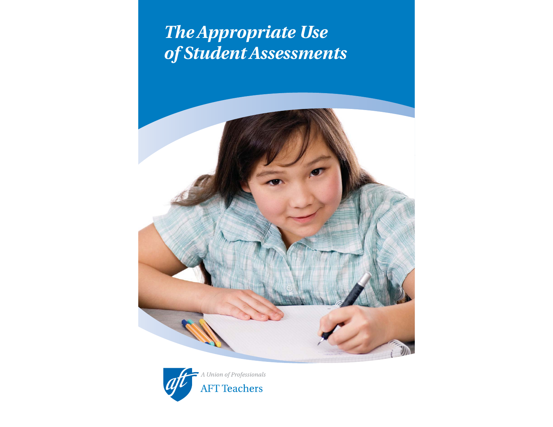# *The Appropriate Use of Student Assessments*



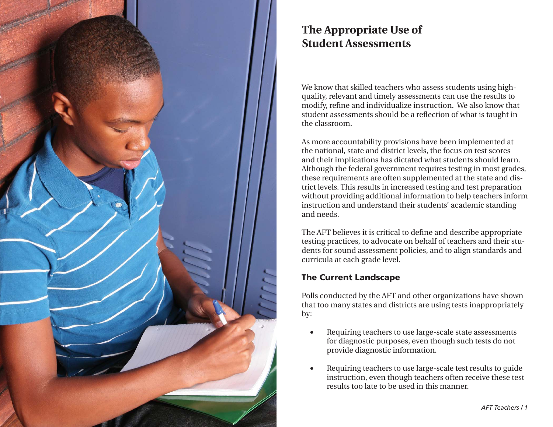

## **The Appropriate Use of Student Assessments**

We know that skilled teachers who assess students using highquality, relevant and timely assessments can use the results to modify, refine and individualize instruction. We also know that student assessments should be a reflection of what is taught in the classroom.

As more accountability provisions have been implemented at the national, state and district levels, the focus on test scores and their implications has dictated what students should learn. Although the federal government requires testing in most grades, these requirements are often supplemented at the state and district levels. This results in increased testing and test preparation without providing additional information to help teachers inform instruction and understand their students' academic standing and needs.

The AFT believes it is critical to define and describe appropriate testing practices, to advocate on behalf of teachers and their students for sound assessment policies, and to align standards and curricula at each grade level.

#### **The Current Landscape**

Polls conducted by the AFT and other organizations have shown that too many states and districts are using tests inappropriately by:

- Requiring teachers to use large-scale state assessments for diagnostic purposes, even though such tests do not provide diagnostic information.
- Requiring teachers to use large-scale test results to guide instruction, even though teachers often receive these test results too late to be used in this manner.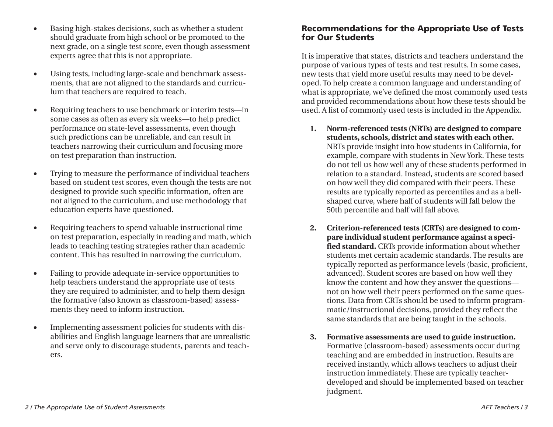- Basing high-stakes decisions, such as whether a student should graduate from high school or be promoted to the next grade, on a single test score, even though assessment experts agree that this is not appropriate.
- Using tests, including large-scale and benchmark assessments, that are not aligned to the standards and curriculum that teachers are required to teach.
- Requiring teachers to use benchmark or interim tests—in some cases as often as every six weeks—to help predict performance on state-level assessments, even though such predictions can be unreliable, and can result in teachers narrowing their curriculum and focusing more on test preparation than instruction.
- Trying to measure the performance of individual teachers based on student test scores, even though the tests are not designed to provide such specific information, often are not aligned to the curriculum, and use methodology that education experts have questioned.
- Requiring teachers to spend valuable instructional time on test preparation, especially in reading and math, which leads to teaching testing strategies rather than academic content. This has resulted in narrowing the curriculum.
- Failing to provide adequate in-service opportunities to help teachers understand the appropriate use of tests they are required to administer, and to help them design the formative (also known as classroom-based) assessments they need to inform instruction.
- Implementing assessment policies for students with disabilities and English language learners that are unrealistic and serve only to discourage students, parents and teachers.

#### **Recommendations for the Appropriate Use of Tests for Our Students**

It is imperative that states, districts and teachers understand the purpose of various types of tests and test results. In some cases, new tests that yield more useful results may need to be developed. To help create a common language and understanding of what is appropriate, we've defined the most commonly used tests and provided recommendations about how these tests should be used. A list of commonly used tests is included in the Appendix.

- **1. Norm-referenced tests (NRTs) are designed to compare students, schools, district and states with each other.** NRTs provide insight into how students in California, for example, compare with students in New York. These tests do not tell us how well any of these students performed in relation to a standard. Instead, students are scored based on how well they did compared with their peers. These results are typically reported as percentiles and as a bellshaped curve, where half of students will fall below the 50th percentile and half will fall above.
- **2. Criterion-referenced tests (CRTs) are designed to compare individual student performance against a specified standard.** CRTs provide information about whether students met certain academic standards. The results are typically reported as performance levels (basic, proficient, advanced). Student scores are based on how well they know the content and how they answer the questions not on how well their peers performed on the same questions. Data from CRTs should be used to inform programmatic/instructional decisions, provided they reflect the same standards that are being taught in the schools.
- **3. Formative assessments are used to guide instruction.** Formative (classroom-based) assessments occur during teaching and are embedded in instruction. Results are received instantly, which allows teachers to adjust their instruction immediately. These are typically teacherdeveloped and should be implemented based on teacher judgment.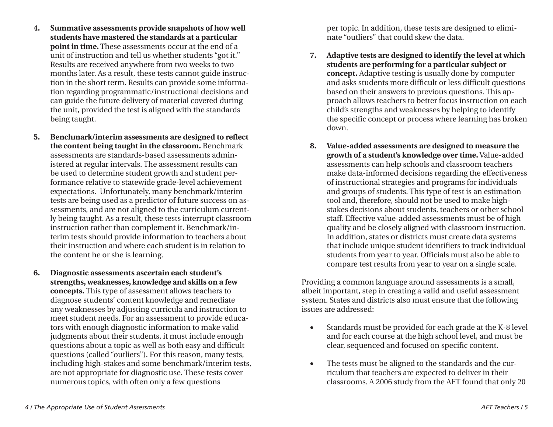- **4. Summative assessments provide snapshots of how well students have mastered the standards at a particular point in time.** These assessments occur at the end of a unit of instruction and tell us whether students "got it." Results are received anywhere from two weeks to two months later. As a result, these tests cannot guide instruction in the short term. Results can provide some information regarding programmatic/instructional decisions and can guide the future delivery of material covered during the unit, provided the test is aligned with the standards being taught.
- **5. Benchmark/interim assessments are designed to reflect the content being taught in the classroom.** Benchmark assessments are standards-based assessments administered at regular intervals. The assessment results can be used to determine student growth and student performance relative to statewide grade-level achievement expectations. Unfortunately, many benchmark/interim tests are being used as a predictor of future success on assessments, and are not aligned to the curriculum currently being taught. As a result, these tests interrupt classroom instruction rather than complement it. Benchmark/interim tests should provide information to teachers about their instruction and where each student is in relation to the content he or she is learning.
- **6. Diagnostic assessments ascertain each student's strengths, weaknesses, knowledge and skills on a few concepts.** This type of assessment allows teachers to diagnose students' content knowledge and remediate any weaknesses by adjusting curricula and instruction to meet student needs. For an assessment to provide educators with enough diagnostic information to make valid judgments about their students, it must include enough questions about a topic as well as both easy and difficult questions (called "outliers"). For this reason, many tests, including high-stakes and some benchmark/interim tests, are not appropriate for diagnostic use. These tests cover numerous topics, with often only a few questions

 per topic. In addition, these tests are designed to eliminate "outliers" that could skew the data.

- **7. Adaptive tests are designed to identify the level at which students are performing for a particular subject or concept.** Adaptive testing is usually done by computer and asks students more difficult or less difficult questions based on their answers to previous questions. This approach allows teachers to better focus instruction on each child's strengths and weaknesses by helping to identify the specific concept or process where learning has broken down.
- **8. Value-added assessments are designed to measure the growth of a student's knowledge over time.** Value-added assessments can help schools and classroom teachers make data-informed decisions regarding the effectiveness of instructional strategies and programs for individuals and groups of students. This type of test is an estimation tool and, therefore, should not be used to make highstakes decisions about students, teachers or other school staff. Effective value-added assessments must be of high quality and be closely aligned with classroom instruction. In addition, states or districts must create data systems that include unique student identifiers to track individual students from year to year. Officials must also be able to compare test results from year to year on a single scale.

Providing a common language around assessments is a small, albeit important, step in creating a valid and useful assessment system. States and districts also must ensure that the following issues are addressed:

- Standards must be provided for each grade at the K-8 level and for each course at the high school level, and must be clear, sequenced and focused on specific content.
- The tests must be aligned to the standards and the curriculum that teachers are expected to deliver in their classrooms. A 2006 study from the AFT found that only 20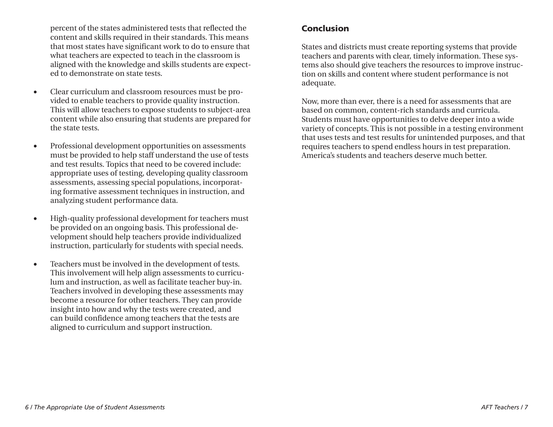percent of the states administered tests that reflected the content and skills required in their standards. This means that most states have significant work to do to ensure that what teachers are expected to teach in the classroom is aligned with the knowledge and skills students are expected to demonstrate on state tests.

- Clear curriculum and classroom resources must be provided to enable teachers to provide quality instruction. This will allow teachers to expose students to subject-area content while also ensuring that students are prepared for the state tests.
- Professional development opportunities on assessments must be provided to help staff understand the use of tests and test results. Topics that need to be covered include: appropriate uses of testing, developing quality classroom assessments, assessing special populations, incorporating formative assessment techniques in instruction, and analyzing student performance data.
- High-quality professional development for teachers must be provided on an ongoing basis. This professional development should help teachers provide individualized instruction, particularly for students with special needs.
- Teachers must be involved in the development of tests. This involvement will help align assessments to curriculum and instruction, as well as facilitate teacher buy-in. Teachers involved in developing these assessments may become a resource for other teachers. They can provide insight into how and why the tests were created, and can build confidence among teachers that the tests are aligned to curriculum and support instruction.

#### **Conclusion**

States and districts must create reporting systems that provide teachers and parents with clear, timely information. These systems also should give teachers the resources to improve instruction on skills and content where student performance is not adequate.

Now, more than ever, there is a need for assessments that are based on common, content-rich standards and curricula. Students must have opportunities to delve deeper into a wide variety of concepts. This is not possible in a testing environment that uses tests and test results for unintended purposes, and that requires teachers to spend endless hours in test preparation. America's students and teachers deserve much better.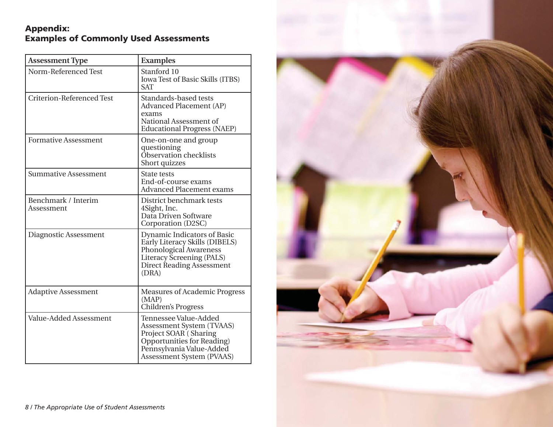### **Appendix: Examples of Commonly Used Assessments**

| <b>Assessment Type</b>            | <b>Examples</b>                                                                                                                                                    |
|-----------------------------------|--------------------------------------------------------------------------------------------------------------------------------------------------------------------|
| Norm-Referenced Test              | Stanford 10<br>Iowa Test of Basic Skills (ITBS)<br><b>SAT</b>                                                                                                      |
| <b>Criterion-Referenced Test</b>  | Standards-based tests<br><b>Advanced Placement (AP)</b><br>exams<br>National Assessment of<br><b>Educational Progress (NAEP)</b>                                   |
| <b>Formative Assessment</b>       | One-on-one and group<br>questioning<br>Observation checklists<br>Short quizzes                                                                                     |
| <b>Summative Assessment</b>       | <b>State tests</b><br>End-of-course exams<br><b>Advanced Placement exams</b>                                                                                       |
| Benchmark / Interim<br>Assessment | District benchmark tests<br>4Sight, Inc.<br>Data Driven Software<br>Corporation (D2SC)                                                                             |
| Diagnostic Assessment             | Dynamic Indicators of Basic<br>Early Literacy Skills (DIBELS)<br><b>Phonological Awareness</b><br>Literacy Screening (PALS)<br>Direct Reading Assessment<br>(DRA)  |
| <b>Adaptive Assessment</b>        | <b>Measures of Academic Progress</b><br>(MAP)<br><b>Children's Progress</b>                                                                                        |
| Value-Added Assessment            | Tennessee Value-Added<br>Assessment System (TVAAS)<br>Project SOAR (Sharing<br>Opportunities for Reading)<br>Pennsylvania Value-Added<br>Assessment System (PVAAS) |